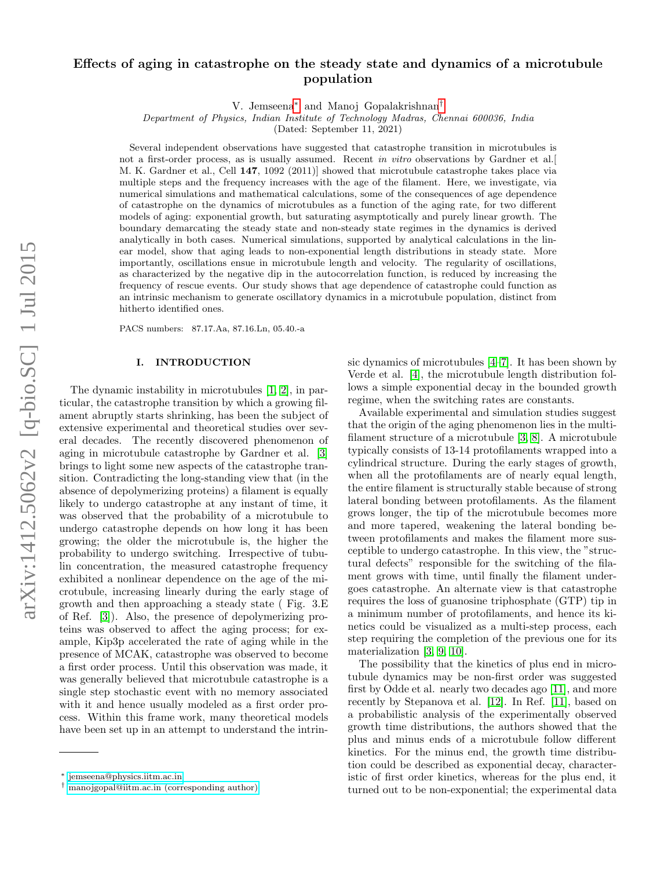# Effects of aging in catastrophe on the steady state and dynamics of a microtubule population

V. Jemseena[∗](#page-0-0) and Manoj Gopalakrishnan[†](#page-0-1)

Department of Physics, Indian Institute of Technology Madras, Chennai 600036, India

(Dated: September 11, 2021)

Several independent observations have suggested that catastrophe transition in microtubules is not a first-order process, as is usually assumed. Recent in vitro observations by Gardner et al. M. K. Gardner et al., Cell 147, 1092 (2011)] showed that microtubule catastrophe takes place via multiple steps and the frequency increases with the age of the filament. Here, we investigate, via numerical simulations and mathematical calculations, some of the consequences of age dependence of catastrophe on the dynamics of microtubules as a function of the aging rate, for two different models of aging: exponential growth, but saturating asymptotically and purely linear growth. The boundary demarcating the steady state and non-steady state regimes in the dynamics is derived analytically in both cases. Numerical simulations, supported by analytical calculations in the linear model, show that aging leads to non-exponential length distributions in steady state. More importantly, oscillations ensue in microtubule length and velocity. The regularity of oscillations, as characterized by the negative dip in the autocorrelation function, is reduced by increasing the frequency of rescue events. Our study shows that age dependence of catastrophe could function as an intrinsic mechanism to generate oscillatory dynamics in a microtubule population, distinct from hitherto identified ones.

PACS numbers: 87.17.Aa, 87.16.Ln, 05.40.-a

# I. INTRODUCTION

The dynamic instability in microtubules [\[1,](#page-10-0) [2\]](#page-10-1), in particular, the catastrophe transition by which a growing filament abruptly starts shrinking, has been the subject of extensive experimental and theoretical studies over several decades. The recently discovered phenomenon of aging in microtubule catastrophe by Gardner et al. [\[3\]](#page-10-2) brings to light some new aspects of the catastrophe transition. Contradicting the long-standing view that (in the absence of depolymerizing proteins) a filament is equally likely to undergo catastrophe at any instant of time, it was observed that the probability of a microtubule to undergo catastrophe depends on how long it has been growing; the older the microtubule is, the higher the probability to undergo switching. Irrespective of tubulin concentration, the measured catastrophe frequency exhibited a nonlinear dependence on the age of the microtubule, increasing linearly during the early stage of growth and then approaching a steady state ( Fig. 3.E of Ref. [\[3\]](#page-10-2)). Also, the presence of depolymerizing proteins was observed to affect the aging process; for example, Kip3p accelerated the rate of aging while in the presence of MCAK, catastrophe was observed to become a first order process. Until this observation was made, it was generally believed that microtubule catastrophe is a single step stochastic event with no memory associated with it and hence usually modeled as a first order process. Within this frame work, many theoretical models have been set up in an attempt to understand the intrin-

sic dynamics of microtubules [\[4–](#page-10-3)[7\]](#page-10-4). It has been shown by Verde et al. [\[4\]](#page-10-3), the microtubule length distribution follows a simple exponential decay in the bounded growth regime, when the switching rates are constants.

Available experimental and simulation studies suggest that the origin of the aging phenomenon lies in the multifilament structure of a microtubule [\[3,](#page-10-2) [8\]](#page-10-5). A microtubule typically consists of 13-14 protofilaments wrapped into a cylindrical structure. During the early stages of growth, when all the protofilaments are of nearly equal length, the entire filament is structurally stable because of strong lateral bonding between protofilaments. As the filament grows longer, the tip of the microtubule becomes more and more tapered, weakening the lateral bonding between protofilaments and makes the filament more susceptible to undergo catastrophe. In this view, the "structural defects" responsible for the switching of the filament grows with time, until finally the filament undergoes catastrophe. An alternate view is that catastrophe requires the loss of guanosine triphosphate (GTP) tip in a minimum number of protofilaments, and hence its kinetics could be visualized as a multi-step process, each step requiring the completion of the previous one for its materialization [\[3,](#page-10-2) [9,](#page-10-6) [10\]](#page-10-7).

The possibility that the kinetics of plus end in microtubule dynamics may be non-first order was suggested first by Odde et al. nearly two decades ago [\[11\]](#page-10-8), and more recently by Stepanova et al. [\[12\]](#page-10-9). In Ref. [\[11\]](#page-10-8), based on a probabilistic analysis of the experimentally observed growth time distributions, the authors showed that the plus and minus ends of a microtubule follow different kinetics. For the minus end, the growth time distribution could be described as exponential decay, characteristic of first order kinetics, whereas for the plus end, it turned out to be non-exponential; the experimental data

<span id="page-0-0"></span><sup>∗</sup> [jemseena@physics.iitm.ac.in](mailto:jemseena@physics.iitm.ac.in)

<span id="page-0-1"></span><sup>†</sup> [manojgopal@iitm.ac.in \(corresponding author\)](mailto:manojgopal@iitm.ac.in (corresponding author))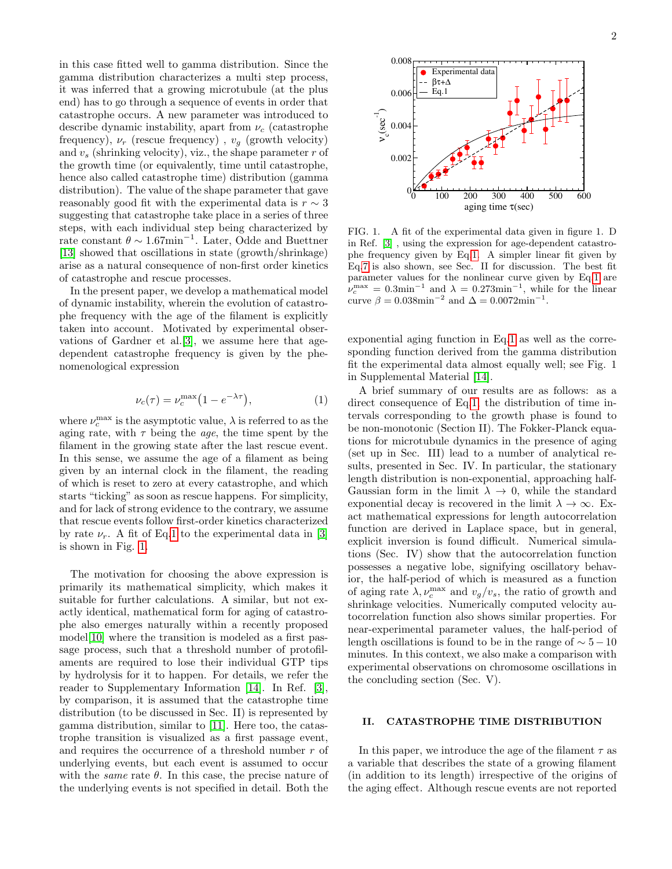in this case fitted well to gamma distribution. Since the gamma distribution characterizes a multi step process, it was inferred that a growing microtubule (at the plus end) has to go through a sequence of events in order that catastrophe occurs. A new parameter was introduced to describe dynamic instability, apart from  $\nu_c$  (catastrophe frequency),  $\nu_r$  (rescue frequency),  $v_q$  (growth velocity) and  $v_s$  (shrinking velocity), viz., the shape parameter r of the growth time (or equivalently, time until catastrophe, hence also called catastrophe time) distribution (gamma distribution). The value of the shape parameter that gave reasonably good fit with the experimental data is  $r \sim 3$ suggesting that catastrophe take place in a series of three steps, with each individual step being characterized by rate constant  $\theta \sim 1.67$ min<sup>-1</sup>. Later, Odde and Buettner [\[13\]](#page-10-10) showed that oscillations in state (growth/shrinkage) arise as a natural consequence of non-first order kinetics of catastrophe and rescue processes.

In the present paper, we develop a mathematical model of dynamic instability, wherein the evolution of catastrophe frequency with the age of the filament is explicitly taken into account. Motivated by experimental observations of Gardner et al.[\[3\]](#page-10-2), we assume here that agedependent catastrophe frequency is given by the phenomenological expression

<span id="page-1-0"></span>
$$
\nu_c(\tau) = \nu_c^{\text{max}} \left( 1 - e^{-\lambda \tau} \right),\tag{1}
$$

where  $\nu_c^{\text{max}}$  is the asymptotic value,  $\lambda$  is referred to as the aging rate, with  $\tau$  being the *age*, the time spent by the filament in the growing state after the last rescue event. In this sense, we assume the age of a filament as being given by an internal clock in the filament, the reading of which is reset to zero at every catastrophe, and which starts "ticking" as soon as rescue happens. For simplicity, and for lack of strong evidence to the contrary, we assume that rescue events follow first-order kinetics characterized by rate  $\nu_r$ . A fit of Eq[.1](#page-1-0) to the experimental data in [\[3\]](#page-10-2) is shown in Fig. [1.](#page-1-1)

The motivation for choosing the above expression is primarily its mathematical simplicity, which makes it suitable for further calculations. A similar, but not exactly identical, mathematical form for aging of catastrophe also emerges naturally within a recently proposed model<sup>[\[10\]](#page-10-7)</sup> where the transition is modeled as a first passage process, such that a threshold number of protofilaments are required to lose their individual GTP tips by hydrolysis for it to happen. For details, we refer the reader to Supplementary Information [\[14\]](#page-10-11). In Ref. [\[3\]](#page-10-2), by comparison, it is assumed that the catastrophe time distribution (to be discussed in Sec. II) is represented by gamma distribution, similar to [\[11\]](#page-10-8). Here too, the catastrophe transition is visualized as a first passage event, and requires the occurrence of a threshold number  $r$  of underlying events, but each event is assumed to occur with the *same* rate  $\theta$ . In this case, the precise nature of the underlying events is not specified in detail. Both the



<span id="page-1-1"></span>FIG. 1. A fit of the experimental data given in figure 1. D in Ref. [\[3\]](#page-10-2) , using the expression for age-dependent catastrophe frequency given by Eq[.1.](#page-1-0) A simpler linear fit given by Eq[.7](#page-2-0) is also shown, see Sec. II for discussion. The best fit parameter values for the nonlinear curve given by Eq[.1](#page-1-0) are  $\nu_c^{\text{max}} = 0.3 \text{min}^{-1}$  and  $\lambda = 0.273 \text{min}^{-1}$ , while for the linear curve  $\beta = 0.038 \text{min}^{-2}$  and  $\Delta = 0.0072 \text{min}^{-1}$ .

exponential aging function in Eq[.1](#page-1-0) as well as the corresponding function derived from the gamma distribution fit the experimental data almost equally well; see Fig. 1 in Supplemental Material [\[14\]](#page-10-11).

A brief summary of our results are as follows: as a direct consequence of Eq[.1,](#page-1-0) the distribution of time intervals corresponding to the growth phase is found to be non-monotonic (Section II). The Fokker-Planck equations for microtubule dynamics in the presence of aging (set up in Sec. III) lead to a number of analytical results, presented in Sec. IV. In particular, the stationary length distribution is non-exponential, approaching half-Gaussian form in the limit  $\lambda \to 0$ , while the standard exponential decay is recovered in the limit  $\lambda \to \infty$ . Exact mathematical expressions for length autocorrelation function are derived in Laplace space, but in general, explicit inversion is found difficult. Numerical simulations (Sec. IV) show that the autocorrelation function possesses a negative lobe, signifying oscillatory behavior, the half-period of which is measured as a function of aging rate  $\lambda, \nu_c^{\text{max}}$  and  $v_g/v_s$ , the ratio of growth and shrinkage velocities. Numerically computed velocity autocorrelation function also shows similar properties. For near-experimental parameter values, the half-period of length oscillations is found to be in the range of  $\sim 5-10$ minutes. In this context, we also make a comparison with experimental observations on chromosome oscillations in the concluding section (Sec. V).

# II. CATASTROPHE TIME DISTRIBUTION

In this paper, we introduce the age of the filament  $\tau$  as a variable that describes the state of a growing filament (in addition to its length) irrespective of the origins of the aging effect. Although rescue events are not reported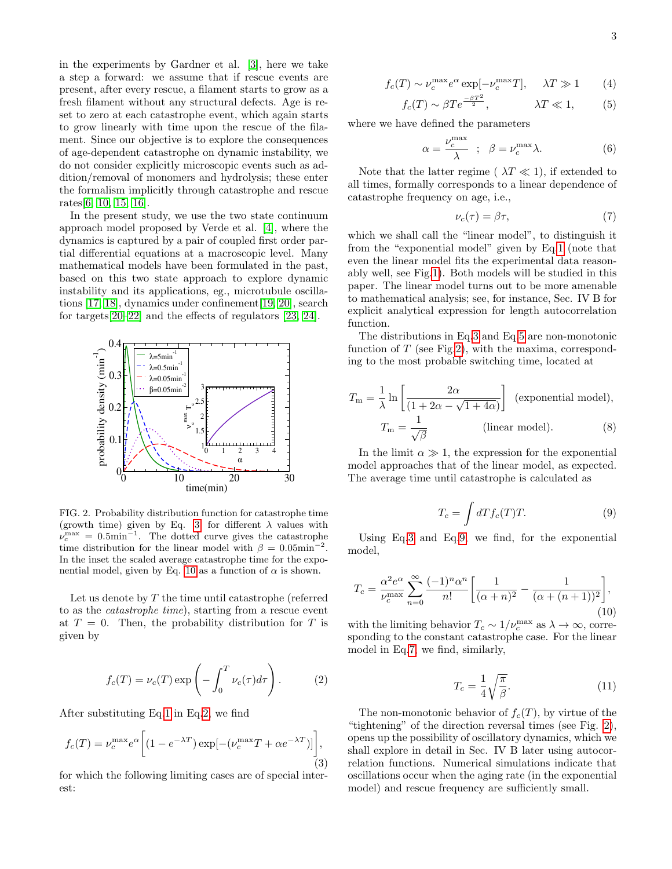in the experiments by Gardner et al. [\[3\]](#page-10-2), here we take a step a forward: we assume that if rescue events are present, after every rescue, a filament starts to grow as a fresh filament without any structural defects. Age is reset to zero at each catastrophe event, which again starts to grow linearly with time upon the rescue of the filament. Since our objective is to explore the consequences of age-dependent catastrophe on dynamic instability, we do not consider explicitly microscopic events such as addition/removal of monomers and hydrolysis; these enter the formalism implicitly through catastrophe and rescue rates[\[6,](#page-10-12) [10,](#page-10-7) [15,](#page-10-13) [16\]](#page-10-14).

In the present study, we use the two state continuum approach model proposed by Verde et al. [\[4\]](#page-10-3), where the dynamics is captured by a pair of coupled first order partial differential equations at a macroscopic level. Many mathematical models have been formulated in the past, based on this two state approach to explore dynamic instability and its applications, eg., microtubule oscillations [\[17,](#page-10-15) [18\]](#page-10-16), dynamics under confinement[\[19,](#page-10-17) [20\]](#page-10-18), search for targets[\[20–](#page-10-18)[22\]](#page-10-19) and the effects of regulators [\[23,](#page-10-20) [24\]](#page-10-21).



<span id="page-2-5"></span>FIG. 2. Probability distribution function for catastrophe time (growth time) given by Eq. [3,](#page-2-1) for different  $\lambda$  values with  $v_c^{\text{max}} = 0.5 \text{min}^{-1}$ . The dotted curve gives the catastrophe time distribution for the linear model with  $\beta = 0.05$ min<sup>-2</sup>. In the inset the scaled average catastrophe time for the expo-nential model, given by Eq. [10](#page-2-2) as a function of  $\alpha$  is shown.

Let us denote by T the time until catastrophe (referred to as the catastrophe time), starting from a rescue event at  $T = 0$ . Then, the probability distribution for T is given by

<span id="page-2-3"></span>
$$
f_c(T) = \nu_c(T) \exp\left(-\int_0^T \nu_c(\tau) d\tau\right).
$$
 (2)

After substituting Eq[.1](#page-1-0) in Eq[.2,](#page-2-3) we find

<span id="page-2-1"></span>
$$
f_c(T) = \nu_c^{\max} e^{\alpha} \left[ (1 - e^{-\lambda T}) \exp[-(\nu_c^{\max} T + \alpha e^{-\lambda T})] \right],
$$
\n(3)

for which the following limiting cases are of special interest:

<span id="page-2-4"></span>
$$
f_c(T) \sim \nu_c^{\max} e^{\alpha} \exp[-\nu_c^{\max} T], \quad \lambda T \gg 1 \qquad (4)
$$

$$
f_c(T) \sim \beta T e^{\frac{-\beta T^2}{2}}, \qquad \lambda T \ll 1, \qquad (5)
$$

where we have defined the parameters

<span id="page-2-7"></span>
$$
\alpha = \frac{\nu_c^{\text{max}}}{\lambda} \quad ; \quad \beta = \nu_c^{\text{max}} \lambda. \tag{6}
$$

Note that the latter regime ( $\lambda T \ll 1$ ), if extended to all times, formally corresponds to a linear dependence of catastrophe frequency on age, i.e.,

<span id="page-2-0"></span>
$$
\nu_c(\tau) = \beta \tau,\tag{7}
$$

which we shall call the "linear model", to distinguish it from the "exponential model" given by Eq[.1](#page-1-0) (note that even the linear model fits the experimental data reasonably well, see Fig[.1\)](#page-1-1). Both models will be studied in this paper. The linear model turns out to be more amenable to mathematical analysis; see, for instance, Sec. IV B for explicit analytical expression for length autocorrelation function.

The distributions in Eq[.3](#page-2-1) and Eq[.5](#page-2-4) are non-monotonic function of  $T$  (see Fig[.2\)](#page-2-5), with the maxima, corresponding to the most probable switching time, located at

$$
T_{\rm m} = \frac{1}{\lambda} \ln \left[ \frac{2\alpha}{(1 + 2\alpha - \sqrt{1 + 4\alpha})} \right]
$$
 (exponential model),  

$$
T_{\rm m} = \frac{1}{\sqrt{\beta}}
$$
 (linear model). (8)

In the limit  $\alpha \gg 1$ , the expression for the exponential model approaches that of the linear model, as expected. The average time until catastrophe is calculated as

<span id="page-2-6"></span>
$$
T_c = \int dT f_c(T) T.
$$
\n(9)

Using Eq[.3](#page-2-1) and Eq[.9,](#page-2-6) we find, for the exponential model,

<span id="page-2-2"></span>
$$
T_c = \frac{\alpha^2 e^{\alpha}}{\nu_c^{\max}} \sum_{n=0}^{\infty} \frac{(-1)^n \alpha^n}{n!} \left[ \frac{1}{(\alpha+n)^2} - \frac{1}{(\alpha+(n+1))^2} \right],\tag{10}
$$

with the limiting behavior  $T_c \sim 1/\nu_c^{\text{max}}$  as  $\lambda \to \infty$ , corresponding to the constant catastrophe case. For the linear model in Eq[.7,](#page-2-0) we find, similarly,

$$
T_c = \frac{1}{4} \sqrt{\frac{\pi}{\beta}}.\tag{11}
$$

The non-monotonic behavior of  $f_c(T)$ , by virtue of the "tightening" of the direction reversal times (see Fig. [2\)](#page-2-5), opens up the possibility of oscillatory dynamics, which we shall explore in detail in Sec. IV B later using autocorrelation functions. Numerical simulations indicate that oscillations occur when the aging rate (in the exponential model) and rescue frequency are sufficiently small.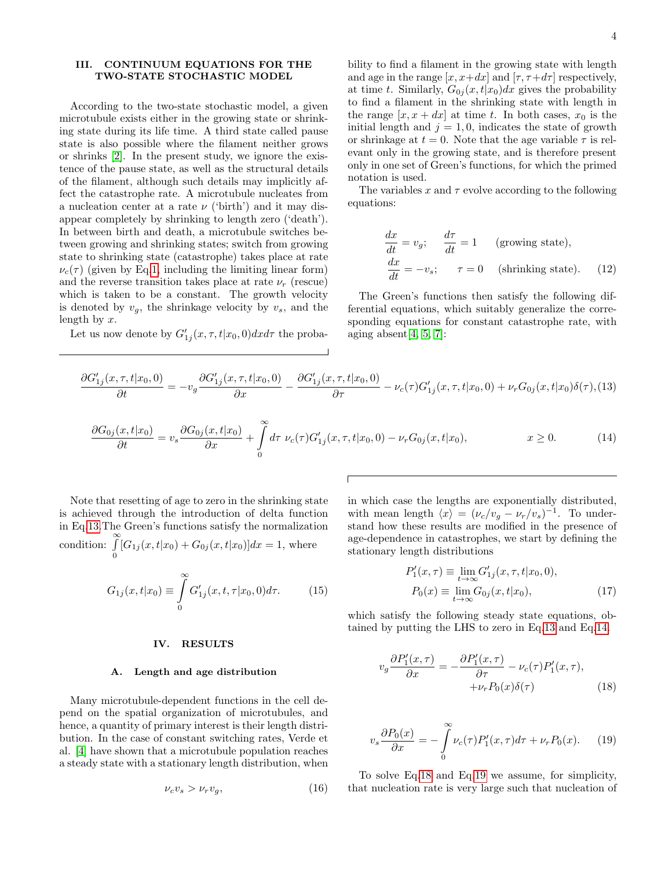# III. CONTINUUM EQUATIONS FOR THE TWO-STATE STOCHASTIC MODEL

According to the two-state stochastic model, a given microtubule exists either in the growing state or shrinking state during its life time. A third state called pause state is also possible where the filament neither grows or shrinks [\[2\]](#page-10-1). In the present study, we ignore the existence of the pause state, as well as the structural details of the filament, although such details may implicitly affect the catastrophe rate. A microtubule nucleates from a nucleation center at a rate  $\nu$  ('birth') and it may disappear completely by shrinking to length zero ('death'). In between birth and death, a microtubule switches between growing and shrinking states; switch from growing state to shrinking state (catastrophe) takes place at rate  $\nu_c(\tau)$  (given by Eq[.1,](#page-1-0) including the limiting linear form) and the reverse transition takes place at rate  $\nu_r$  (rescue) which is taken to be a constant. The growth velocity is denoted by  $v_q$ , the shrinkage velocity by  $v_s$ , and the length by x.

Let us now denote by  $G'_{1j}(x, \tau, t | x_0, 0) dx d\tau$  the proba-

bility to find a filament in the growing state with length and age in the range  $[x, x+dx]$  and  $[\tau, \tau+d\tau]$  respectively, at time t. Similarly,  $G_{0i}(x,t|x_0)dx$  gives the probability to find a filament in the shrinking state with length in the range  $[x, x + dx]$  at time t. In both cases,  $x_0$  is the initial length and  $j = 1, 0$ , indicates the state of growth or shrinkage at  $t = 0$ . Note that the age variable  $\tau$  is relevant only in the growing state, and is therefore present only in one set of Green's functions, for which the primed notation is used.

The variables x and  $\tau$  evolve according to the following equations:

$$
\frac{dx}{dt} = v_g; \quad \frac{d\tau}{dt} = 1 \quad \text{(growing state)},
$$
\n
$$
\frac{dx}{dt} = -v_s; \quad \tau = 0 \quad \text{(shrinking state)}. \quad (12)
$$

The Green's functions then satisfy the following differential equations, which suitably generalize the corresponding equations for constant catastrophe rate, with aging absent $[4, 5, 7]$  $[4, 5, 7]$  $[4, 5, 7]$ :

<span id="page-3-0"></span>
$$
\frac{\partial G'_{1j}(x,\tau,t|x_0,0)}{\partial t} = -v_g \frac{\partial G'_{1j}(x,\tau,t|x_0,0)}{\partial x} - \frac{\partial G'_{1j}(x,\tau,t|x_0,0)}{\partial \tau} - \nu_c(\tau)G'_{1j}(x,\tau,t|x_0,0) + \nu_r G_{0j}(x,t|x_0)\delta(\tau),
$$
(13)

<span id="page-3-1"></span>
$$
\frac{\partial G_{0j}(x,t|x_0)}{\partial t} = v_s \frac{\partial G_{0j}(x,t|x_0)}{\partial x} + \int_0^\infty d\tau \ \nu_c(\tau) G'_{1j}(x,\tau,t|x_0,0) - \nu_r G_{0j}(x,t|x_0), \qquad x \ge 0. \tag{14}
$$

Note that resetting of age to zero in the shrinking state is achieved through the introduction of delta function in Eq[.13.](#page-3-0)The Green's functions satisfy the normalization condition:  $\int_0^\infty$  $\int_{0} [G_{1j}(x, t|x_0) + G_{0j}(x, t|x_0)]dx = 1$ , where

$$
G_{1j}(x,t|x_0) \equiv \int_{0}^{\infty} G'_{1j}(x,t,\tau|x_0,0)d\tau.
$$
 (15)

# IV. RESULTS

#### A. Length and age distribution

Many microtubule-dependent functions in the cell depend on the spatial organization of microtubules, and hence, a quantity of primary interest is their length distribution. In the case of constant switching rates, Verde et al. [\[4\]](#page-10-3) have shown that a microtubule population reaches a steady state with a stationary length distribution, when

$$
\nu_c v_s > \nu_r v_g,\tag{16}
$$

in which case the lengths are exponentially distributed, with mean length  $\langle x \rangle = (\nu_c/v_g - \nu_r/v_s)^{-1}$ . To understand how these results are modified in the presence of age-dependence in catastrophes, we start by defining the stationary length distributions

$$
P'_{1}(x,\tau) \equiv \lim_{t \to \infty} G'_{1j}(x,\tau,t|x_0,0),
$$
  
\n
$$
P_{0}(x) \equiv \lim_{t \to \infty} G_{0j}(x,t|x_0),
$$
\n(17)

which satisfy the following steady state equations, obtained by putting the LHS to zero in Eq[.13](#page-3-0) and Eq[.14.](#page-3-1)

<span id="page-3-2"></span>
$$
v_g \frac{\partial P'_1(x,\tau)}{\partial x} = -\frac{\partial P'_1(x,\tau)}{\partial \tau} - \nu_c(\tau) P'_1(x,\tau),
$$
  
 
$$
+ \nu_r P_0(x) \delta(\tau) \tag{18}
$$

<span id="page-3-3"></span>
$$
v_s \frac{\partial P_0(x)}{\partial x} = -\int_0^\infty \nu_c(\tau) P_1'(x,\tau) d\tau + \nu_r P_0(x). \tag{19}
$$

To solve Eq[.18](#page-3-2) and Eq[.19](#page-3-3) we assume, for simplicity, that nucleation rate is very large such that nucleation of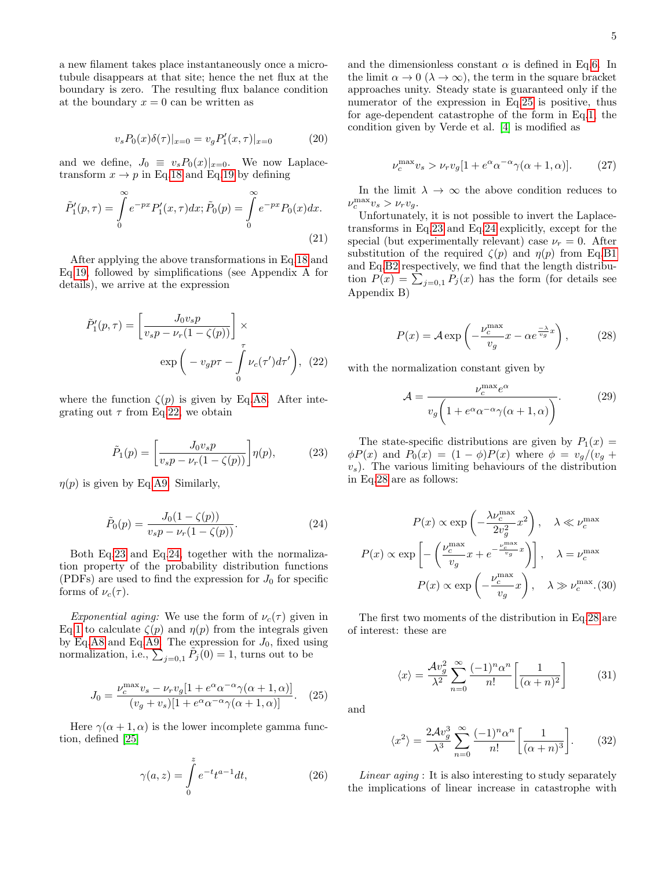a new filament takes place instantaneously once a microtubule disappears at that site; hence the net flux at the boundary is zero. The resulting flux balance condition at the boundary  $x = 0$  can be written as

<span id="page-4-6"></span>
$$
v_s P_0(x)\delta(\tau)|_{x=0} = v_g P'_1(x,\tau)|_{x=0} \tag{20}
$$

and we define,  $J_0 \equiv v_s P_0(x)|_{x=0}$ . We now Laplacetransform  $x \to p$  in Eq[.18](#page-3-2) and Eq[.19](#page-3-3) by defining

$$
\tilde{P}'_1(p,\tau) = \int_0^\infty e^{-px} P'_1(x,\tau) dx; \tilde{P}_0(p) = \int_0^\infty e^{-px} P_0(x) dx.
$$
\n(21)

After applying the above transformations in Eq[.18](#page-3-2) and Eq[.19,](#page-3-3) followed by simplifications (see Appendix A for details), we arrive at the expression

<span id="page-4-0"></span>
$$
\tilde{P}'_1(p,\tau) = \left[\frac{J_0 v_s p}{v_s p - \nu_r (1 - \zeta(p))}\right] \times \exp\left(-v_g p \tau - \int_0^\tau \nu_c(\tau') d\tau'\right), (22)
$$

where the function  $\zeta(p)$  is given by Eq[.A8.](#page-11-0) After integrating out  $\tau$  from Eq[.22,](#page-4-0) we obtain

<span id="page-4-1"></span>
$$
\tilde{P}_1(p) = \left[\frac{J_0 v_s p}{v_s p - \nu_r (1 - \zeta(p))}\right] \eta(p),\tag{23}
$$

 $\eta(p)$  is given by Eq[.A9.](#page-11-1) Similarly,

<span id="page-4-2"></span>
$$
\tilde{P}_0(p) = \frac{J_0(1 - \zeta(p))}{v_s p - \nu_r(1 - \zeta(p))}.
$$
\n(24)

Both Eq[.23](#page-4-1) and Eq[.24,](#page-4-2) together with the normalization property of the probability distribution functions (PDFs) are used to find the expression for  $J_0$  for specific forms of  $\nu_c(\tau)$ .

Exponential aging: We use the form of  $\nu_c(\tau)$  given in Eq[.1](#page-1-0) to calculate  $\zeta(p)$  and  $\eta(p)$  from the integrals given by Eq[.A8](#page-11-0) and Eq[.A9.](#page-11-1) The expression for  $J_0$ , fixed using normalization, i.e.,  $\sum_{j=0,1} \tilde{P}_j(0) = 1$ , turns out to be

<span id="page-4-3"></span>
$$
J_0 = \frac{\nu_c^{\max} v_s - \nu_r v_g [1 + e^{\alpha} \alpha^{-\alpha} \gamma(\alpha + 1, \alpha)]}{(v_g + v_s)[1 + e^{\alpha} \alpha^{-\alpha} \gamma(\alpha + 1, \alpha)]}.
$$
 (25)

Here  $\gamma(\alpha+1,\alpha)$  is the lower incomplete gamma function, defined [\[25\]](#page-10-23)

$$
\gamma(a,z) = \int\limits_0^z e^{-t} t^{a-1} dt,\tag{26}
$$

and the dimensionless constant  $\alpha$  is defined in Eq[.6.](#page-2-7) In the limit  $\alpha \to 0$  ( $\lambda \to \infty$ ), the term in the square bracket approaches unity. Steady state is guaranteed only if the numerator of the expression in Eq[.25](#page-4-3) is positive, thus for age-dependent catastrophe of the form in Eq[.1,](#page-1-0) the condition given by Verde et al. [\[4\]](#page-10-3) is modified as

$$
\nu_c^{\max} v_s > \nu_r v_g [1 + e^{\alpha} \alpha^{-\alpha} \gamma(\alpha + 1, \alpha)]. \tag{27}
$$

In the limit  $\lambda \to \infty$  the above condition reduces to  $\nu_c^{\text{max}} v_s > \nu_r v_g.$ 

Unfortunately, it is not possible to invert the Laplacetransforms in Eq[.23](#page-4-1) and Eq[.24](#page-4-2) explicitly, except for the special (but experimentally relevant) case  $\nu_r = 0$ . After substitution of the required  $\zeta(p)$  and  $\eta(p)$  from Eq[.B1](#page-11-2) and Eq[.B2](#page-12-0) respectively, we find that the length distribution  $P(x) = \sum_{j=0,1} P_j(x)$  has the form (for details see Appendix B)

<span id="page-4-4"></span>
$$
P(x) = A \exp\left(-\frac{\nu_c^{\max}}{v_g}x - \alpha e^{\frac{-\lambda}{v_g}x}\right),\tag{28}
$$

with the normalization constant given by

$$
\mathcal{A} = \frac{\nu_c^{\text{max}} e^{\alpha}}{v_g \left(1 + e^{\alpha} \alpha^{-\alpha} \gamma(\alpha + 1, \alpha)\right)}.
$$
 (29)

The state-specific distributions are given by  $P_1(x) =$  $\phi P(x)$  and  $P_0(x) = (1 - \phi)P(x)$  where  $\phi = v_g/(v_g +$  $v<sub>s</sub>$ ). The various limiting behaviours of the distribution in Eq[.28](#page-4-4) are as follows:

<span id="page-4-5"></span>
$$
P(x) \propto \exp\left(-\frac{\lambda \nu_c^{\max}}{2v_g^2} x^2\right), \quad \lambda \ll \nu_c^{\max}
$$

$$
P(x) \propto \exp\left[-\left(\frac{\nu_c^{\max}}{v_g} x + e^{-\frac{\nu_c^{\max}}{v_g} x}\right)\right], \quad \lambda = \nu_c^{\max}
$$

$$
P(x) \propto \exp\left(-\frac{\nu_c^{\max}}{v_g} x\right), \quad \lambda \gg \nu_c^{\max} . (30)
$$

The first two moments of the distribution in Eq[.28](#page-4-4) are of interest: these are

$$
\langle x \rangle = \frac{\mathcal{A}v_g^2}{\lambda^2} \sum_{n=0}^{\infty} \frac{(-1)^n \alpha^n}{n!} \left[ \frac{1}{(\alpha+n)^2} \right] \tag{31}
$$

and

$$
\langle x^2 \rangle = \frac{2\mathcal{A}v_g^3}{\lambda^3} \sum_{n=0}^{\infty} \frac{(-1)^n \alpha^n}{n!} \left[ \frac{1}{(\alpha+n)^3} \right].
$$
 (32)

Linear aging : It is also interesting to study separately the implications of linear increase in catastrophe with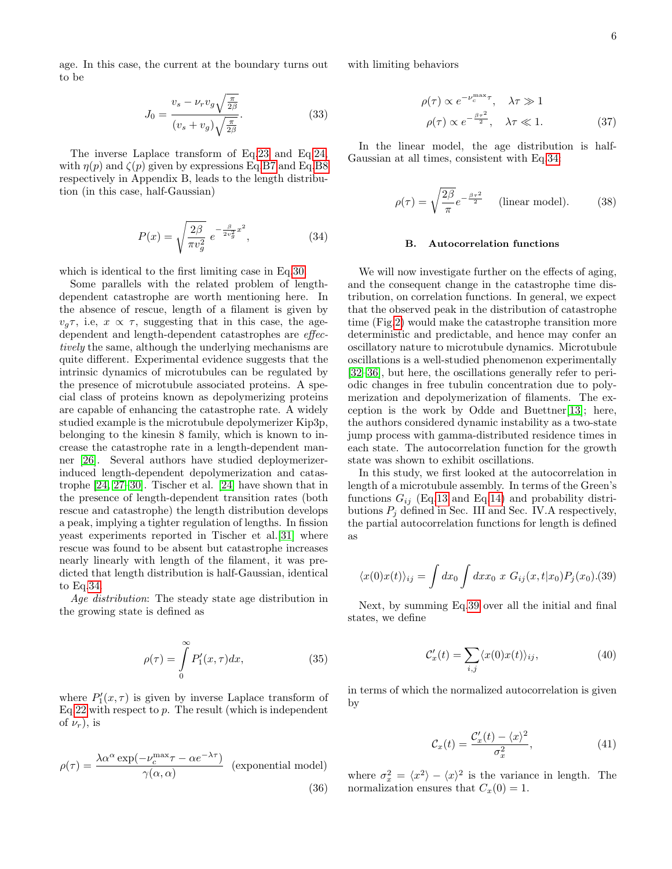age. In this case, the current at the boundary turns out to be

$$
J_0 = \frac{v_s - \nu_r v_g \sqrt{\frac{\pi}{2\beta}}}{(v_s + v_g) \sqrt{\frac{\pi}{2\beta}}}.
$$
\n(33)

The inverse Laplace transform of Eq[.23](#page-4-1) and Eq[.24,](#page-4-2) with  $\eta(p)$  and  $\zeta(p)$  given by expressions Eq[.B7](#page-12-1) and Eq[.B8](#page-12-2) respectively in Appendix B, leads to the length distribution (in this case, half-Gaussian)

<span id="page-5-0"></span>
$$
P(x) = \sqrt{\frac{2\beta}{\pi v_g^2}} e^{-\frac{\beta}{2v_g^2}x^2},
$$
\n(34)

which is identical to the first limiting case in Eq[.30.](#page-4-5)

Some parallels with the related problem of lengthdependent catastrophe are worth mentioning here. In the absence of rescue, length of a filament is given by  $v_q\tau$ , i.e,  $x \propto \tau$ , suggesting that in this case, the agedependent and length-dependent catastrophes are effectively the same, although the underlying mechanisms are quite different. Experimental evidence suggests that the intrinsic dynamics of microtubules can be regulated by the presence of microtubule associated proteins. A special class of proteins known as depolymerizing proteins are capable of enhancing the catastrophe rate. A widely studied example is the microtubule depolymerizer Kip3p, belonging to the kinesin 8 family, which is known to increase the catastrophe rate in a length-dependent manner [\[26\]](#page-11-3). Several authors have studied deploymerizerinduced length-dependent depolymerization and catastrophe [\[24,](#page-10-21) [27](#page-11-4)[–30\]](#page-11-5). Tischer et al. [\[24\]](#page-10-21) have shown that in the presence of length-dependent transition rates (both rescue and catastrophe) the length distribution develops a peak, implying a tighter regulation of lengths. In fission yeast experiments reported in Tischer et al.[\[31\]](#page-11-6) where rescue was found to be absent but catastrophe increases nearly linearly with length of the filament, it was predicted that length distribution is half-Gaussian, identical to Eq[.34.](#page-5-0)

Age distribution: The steady state age distribution in the growing state is defined as

$$
\rho(\tau) = \int_{0}^{\infty} P_1'(x, \tau) dx, \tag{35}
$$

where  $P'_{1}(x, \tau)$  is given by inverse Laplace transform of Eq[.22](#page-4-0) with respect to  $p$ . The result (which is independent of  $\nu_r$ ), is

$$
\rho(\tau) = \frac{\lambda \alpha^{\alpha} \exp(-\nu_c^{\max} \tau - \alpha e^{-\lambda \tau})}{\gamma(\alpha, \alpha)}
$$
 (exponential model) (36)

with limiting behaviors

$$
\rho(\tau) \propto e^{-\nu_c^{\max}\tau}, \quad \lambda \tau \gg 1
$$
  

$$
\rho(\tau) \propto e^{-\frac{\beta \tau^2}{2}}, \quad \lambda \tau \ll 1.
$$
 (37)

In the linear model, the age distribution is half-Gaussian at all times, consistent with Eq[.34:](#page-5-0)

$$
\rho(\tau) = \sqrt{\frac{2\beta}{\pi}} e^{-\frac{\beta \tau^2}{2}} \quad \text{(linear model)}.
$$
 (38)

#### B. Autocorrelation functions

We will now investigate further on the effects of aging, and the consequent change in the catastrophe time distribution, on correlation functions. In general, we expect that the observed peak in the distribution of catastrophe time (Fig[.2\)](#page-2-5) would make the catastrophe transition more deterministic and predictable, and hence may confer an oscillatory nature to microtubule dynamics. Microtubule oscillations is a well-studied phenomenon experimentally [\[32–](#page-11-7)[36\]](#page-11-8), but here, the oscillations generally refer to periodic changes in free tubulin concentration due to polymerization and depolymerization of filaments. The exception is the work by Odde and Buettner[\[13\]](#page-10-10); here, the authors considered dynamic instability as a two-state jump process with gamma-distributed residence times in each state. The autocorrelation function for the growth state was shown to exhibit oscillations.

In this study, we first looked at the autocorrelation in length of a microtubule assembly. In terms of the Green's functions  $G_{ij}$  (Eq[.13](#page-3-0) and Eq[.14\)](#page-3-1) and probability distributions  $P_i$  defined in Sec. III and Sec. IV. A respectively, the partial autocorrelation functions for length is defined as

<span id="page-5-1"></span>
$$
\langle x(0)x(t)\rangle_{ij} = \int dx_0 \int dx x_0 \; x \; G_{ij}(x, t|x_0) P_j(x_0). (39)
$$

Next, by summing Eq[.39](#page-5-1) over all the initial and final states, we define

<span id="page-5-3"></span>
$$
\mathcal{C}'_x(t) = \sum_{i,j} \langle x(0)x(t) \rangle_{ij},\tag{40}
$$

in terms of which the normalized autocorrelation is given by

<span id="page-5-2"></span>
$$
\mathcal{C}_x(t) = \frac{\mathcal{C}_x'(t) - \langle x \rangle^2}{\sigma_x^2},\tag{41}
$$

where  $\sigma_x^2 = \langle x^2 \rangle - \langle x \rangle^2$  is the variance in length. The normalization ensures that  $C_x(0) = 1$ .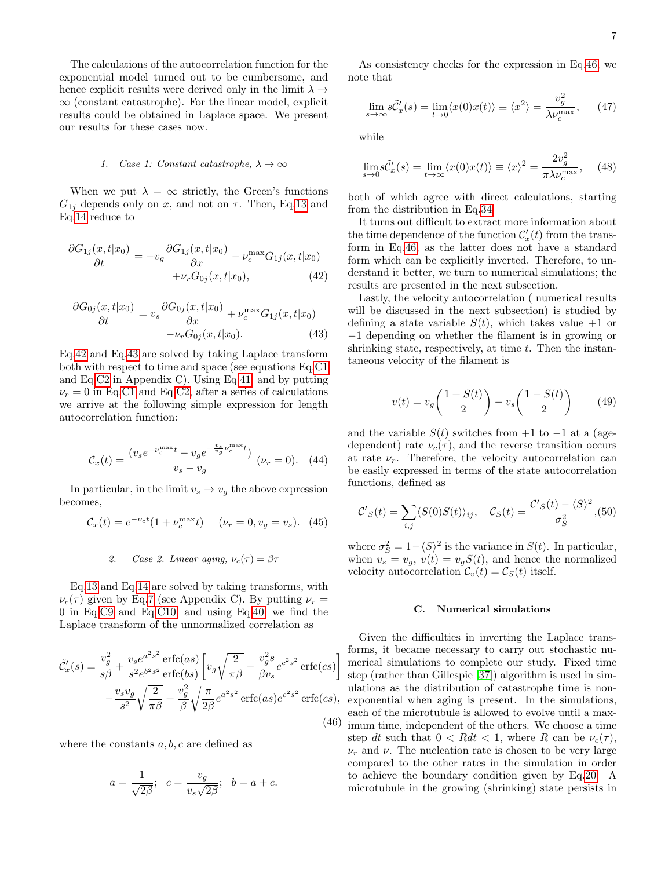The calculations of the autocorrelation function for the exponential model turned out to be cumbersome, and hence explicit results were derived only in the limit  $\lambda \rightarrow$  $\infty$  (constant catastrophe). For the linear model, explicit results could be obtained in Laplace space. We present our results for these cases now.

### 1. Case 1: Constant catastrophe,  $\lambda \to \infty$

When we put  $\lambda = \infty$  strictly, the Green's functions  $G_{1j}$  depends only on x, and not on  $\tau$ . Then, Eq[.13](#page-3-0) and Eq[.14](#page-3-1) reduce to

<span id="page-6-0"></span>
$$
\frac{\partial G_{1j}(x,t|x_0)}{\partial t} = -v_g \frac{\partial G_{1j}(x,t|x_0)}{\partial x} - \nu_c^{\max} G_{1j}(x,t|x_0) + \nu_r G_{0j}(x,t|x_0), \tag{42}
$$

<span id="page-6-1"></span>
$$
\frac{\partial G_{0j}(x,t|x_0)}{\partial t} = v_s \frac{\partial G_{0j}(x,t|x_0)}{\partial x} + \nu_c^{\max} G_{1j}(x,t|x_0) -\nu_r G_{0j}(x,t|x_0). \tag{43}
$$

Eq[.42](#page-6-0) and Eq[.43](#page-6-1) are solved by taking Laplace transform both with respect to time and space (see equations Eq[.C1](#page-12-3) and Eq[.C2](#page-12-4) in Appendix C). Using Eq[.41,](#page-5-2) and by putting  $\nu_r = 0$  in Eq[.C1](#page-12-3) and Eq[.C2,](#page-12-4) after a series of calculations we arrive at the following simple expression for length autocorrelation function:

$$
\mathcal{C}_x(t) = \frac{(v_s e^{-\nu_c^{\max}t} - v_g e^{-\frac{v_s}{v_g}\nu_c^{\max}t})}{v_s - v_g} \ (\nu_r = 0). \tag{44}
$$

In particular, in the limit  $v_s \to v_g$  the above expression becomes,

$$
C_x(t) = e^{-\nu_c t} (1 + \nu_c^{\max} t) \quad (\nu_r = 0, v_g = v_s). \tag{45}
$$

# 2. Case 2. Linear aging,  $\nu_c(\tau) = \beta \tau$

Eq[.13](#page-3-0) and Eq[.14](#page-3-1) are solved by taking transforms, with  $\nu_c(\tau)$  given by Eq[.7](#page-2-0) (see Appendix C). By putting  $\nu_r =$ 0 in Eq[.C9](#page-13-0) and Eq[.C10,](#page-13-1) and using Eq[.40,](#page-5-3) we find the Laplace transform of the unnormalized correlation as

<span id="page-6-2"></span>
$$
\tilde{C}'_x(s) = \frac{v_g^2}{s\beta} + \frac{v_s e^{a^2 s^2} \operatorname{erfc(as)}}{s^2 e^{b^2 s^2} \operatorname{erfc(bs)}} \left[ v_g \sqrt{\frac{2}{\pi \beta}} - \frac{v_g^2 s}{\beta v_s} e^{c^2 s^2} \operatorname{erfc(cs)} \right]
$$

$$
- \frac{v_s v_g}{s^2} \sqrt{\frac{2}{\pi \beta}} + \frac{v_g^2}{\beta} \sqrt{\frac{\pi}{2\beta}} e^{a^2 s^2} \operatorname{erfc(as)} e^{c^2 s^2} \operatorname{erfc(cs)}, \tag{46}
$$

where the constants  $a, b, c$  are defined as

$$
a = \frac{1}{\sqrt{2\beta}}
$$
;  $c = \frac{v_g}{v_s\sqrt{2\beta}}$ ;  $b = a + c$ .

As consistency checks for the expression in Eq[.46,](#page-6-2) we note that

$$
\lim_{s \to \infty} s\tilde{C}'_x(s) = \lim_{t \to 0} \langle x(0)x(t) \rangle \equiv \langle x^2 \rangle = \frac{v_g^2}{\lambda \nu_c^{\max}},\qquad(47)
$$

while

$$
\lim_{s \to 0} s\tilde{C}'_x(s) = \lim_{t \to \infty} \langle x(0)x(t) \rangle \equiv \langle x \rangle^2 = \frac{2v_g^2}{\pi \lambda \nu_c^{\max}}, \quad (48)
$$

both of which agree with direct calculations, starting from the distribution in Eq[.34.](#page-5-0)

It turns out difficult to extract more information about the time dependence of the function  $\mathcal{C}'_x(t)$  from the transform in Eq[.46,](#page-6-2) as the latter does not have a standard form which can be explicitly inverted. Therefore, to understand it better, we turn to numerical simulations; the results are presented in the next subsection.

Lastly, the velocity autocorrelation ( numerical results will be discussed in the next subsection) is studied by defining a state variable  $S(t)$ , which takes value  $+1$  or −1 depending on whether the filament is in growing or shrinking state, respectively, at time  $t$ . Then the instantaneous velocity of the filament is

$$
v(t) = v_g \left(\frac{1 + S(t)}{2}\right) - v_s \left(\frac{1 - S(t)}{2}\right) \tag{49}
$$

and the variable  $S(t)$  switches from +1 to -1 at a (agedependent) rate  $\nu_c(\tau)$ , and the reverse transition occurs at rate  $\nu_r$ . Therefore, the velocity autocorrelation can be easily expressed in terms of the state autocorrelation functions, defined as

$$
\mathcal{C}'_S(t) = \sum_{i,j} \langle S(0)S(t) \rangle_{ij}, \quad \mathcal{C}_S(t) = \frac{\mathcal{C}'_S(t) - \langle S \rangle^2}{\sigma_S^2}, (50)
$$

where  $\sigma_S^2 = 1 - \langle S \rangle^2$  is the variance in  $S(t)$ . In particular, when  $v_s = v_g$ ,  $v(t) = v_g S(t)$ , and hence the normalized velocity autocorrelation  $\mathcal{C}_v(t) = \mathcal{C}_S(t)$  itself.

### C. Numerical simulations

Given the difficulties in inverting the Laplace transforms, it became necessary to carry out stochastic numerical simulations to complete our study. Fixed time step (rather than Gillespie [\[37\]](#page-11-9)) algorithm is used in simulations as the distribution of catastrophe time is nonexponential when aging is present. In the simulations, each of the microtubule is allowed to evolve until a maximum time, independent of the others. We choose a time step dt such that  $0 < R dt < 1$ , where R can be  $\nu_c(\tau)$ ,  $\nu_r$  and  $\nu$ . The nucleation rate is chosen to be very large compared to the other rates in the simulation in order to achieve the boundary condition given by Eq[.20.](#page-4-6) A microtubule in the growing (shrinking) state persists in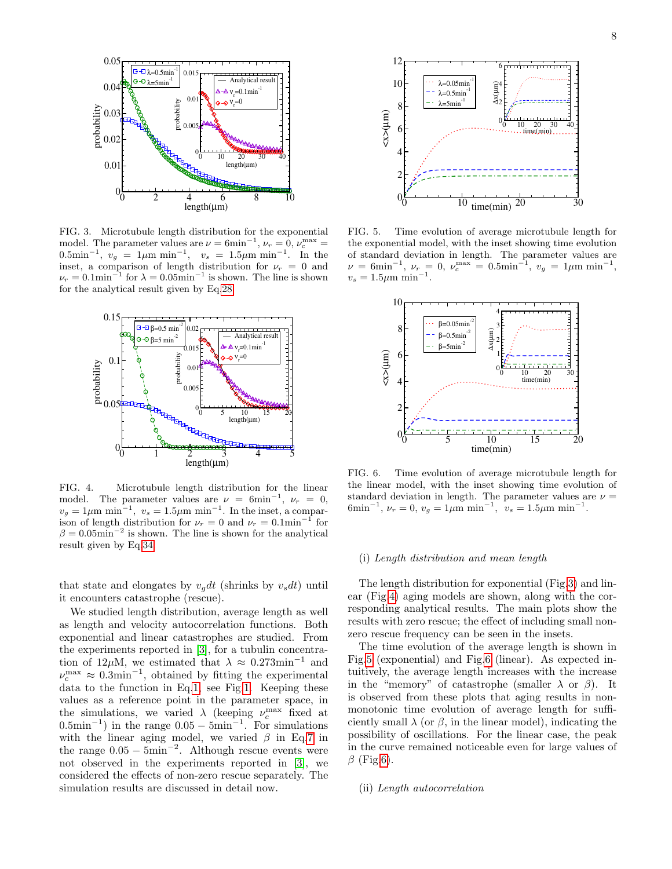

<span id="page-7-0"></span>FIG. 3. Microtubule length distribution for the exponential model. The parameter values are  $\nu = 6 \text{min}^{-1}$ ,  $\nu_r = 0$ ,  $\nu_c^{\text{max}} =$  $0.5\text{min}^{-1}, v_g = 1\mu\text{m min}^{-1}, v_s = 1.5\mu\text{m min}^{-1}.$  In the inset, a comparison of length distribution for  $\nu_r = 0$  and  $\nu_r = 0.1 \text{min}^{-1}$  for  $\lambda = 0.05 \text{min}^{-1}$  is shown. The line is shown for the analytical result given by Eq[.28.](#page-4-4)



<span id="page-7-1"></span>FIG. 4. Microtubule length distribution for the linear model. The parameter values are  $\nu = 6$ min<sup>-1</sup>,  $\nu_r = 0$ ,  $v_g = 1 \mu \text{m min}^{-1}$ ,  $v_s = 1.5 \mu \text{m min}^{-1}$ . In the inset, a comparison of length distribution for  $\nu_r = 0$  and  $\nu_r = 0.1$ min<sup>-1</sup> for  $\beta = 0.05$ min<sup>-2</sup> is shown. The line is shown for the analytical result given by Eq[.34.](#page-5-0)

that state and elongates by  $v_q dt$  (shrinks by  $v_s dt$ ) until it encounters catastrophe (rescue).

We studied length distribution, average length as well as length and velocity autocorrelation functions. Both exponential and linear catastrophes are studied. From the experiments reported in [\[3\]](#page-10-2), for a tubulin concentration of 12µM, we estimated that  $\lambda \approx 0.273$ min<sup>-1</sup> and  $\nu_c^{\text{max}} \approx 0.3 \text{min}^{-1}$ , obtained by fitting the experimental data to the function in Eq[.1,](#page-1-0) see Fig[.1.](#page-1-1) Keeping these values as a reference point in the parameter space, in the simulations, we varied  $\lambda$  (keeping  $\nu_c^{\text{max}}$  fixed at  $(0.5\text{min}^{-1})$  in the range  $0.05 - 5\text{min}^{-1}$ . For simulations with the linear aging model, we varied  $\beta$  in Eq[.7](#page-2-0) in the range  $0.05 - 5$ min<sup>-2</sup>. Although rescue events were not observed in the experiments reported in [\[3\]](#page-10-2), we considered the effects of non-zero rescue separately. The simulation results are discussed in detail now.



<span id="page-7-2"></span>FIG. 5. Time evolution of average microtubule length for the exponential model, with the inset showing time evolution of standard deviation in length. The parameter values are  $\nu = 6 \text{min}^{-1}, \nu_r = 0, \nu_c^{\text{max}} = 0.5 \text{min}^{-1}, \nu_g = 1 \mu \text{m min}^{-1},$  $v_s = 1.5 \mu m \text{ min}^{-1}.$ 



<span id="page-7-3"></span>FIG. 6. Time evolution of average microtubule length for the linear model, with the inset showing time evolution of standard deviation in length. The parameter values are  $\nu =$ 6min<sup>-1</sup>,  $\nu_r = 0$ ,  $v_g = 1 \mu m \text{ min}^{-1}$ ,  $v_s = 1.5 \mu m \text{ min}^{-1}$ .

#### (i) Length distribution and mean length

The length distribution for exponential (Fig[.3\)](#page-7-0) and linear (Fig[.4\)](#page-7-1) aging models are shown, along with the corresponding analytical results. The main plots show the results with zero rescue; the effect of including small nonzero rescue frequency can be seen in the insets.

The time evolution of the average length is shown in Fig[.5](#page-7-2) (exponential) and Fig[.6](#page-7-3) (linear). As expected intuitively, the average length increases with the increase in the "memory" of catastrophe (smaller  $\lambda$  or  $\beta$ ). It is observed from these plots that aging results in nonmonotonic time evolution of average length for sufficiently small  $\lambda$  (or  $\beta$ , in the linear model), indicating the possibility of oscillations. For the linear case, the peak in the curve remained noticeable even for large values of  $\beta$  (Fig[.6\)](#page-7-3).

#### (ii) Length autocorrelation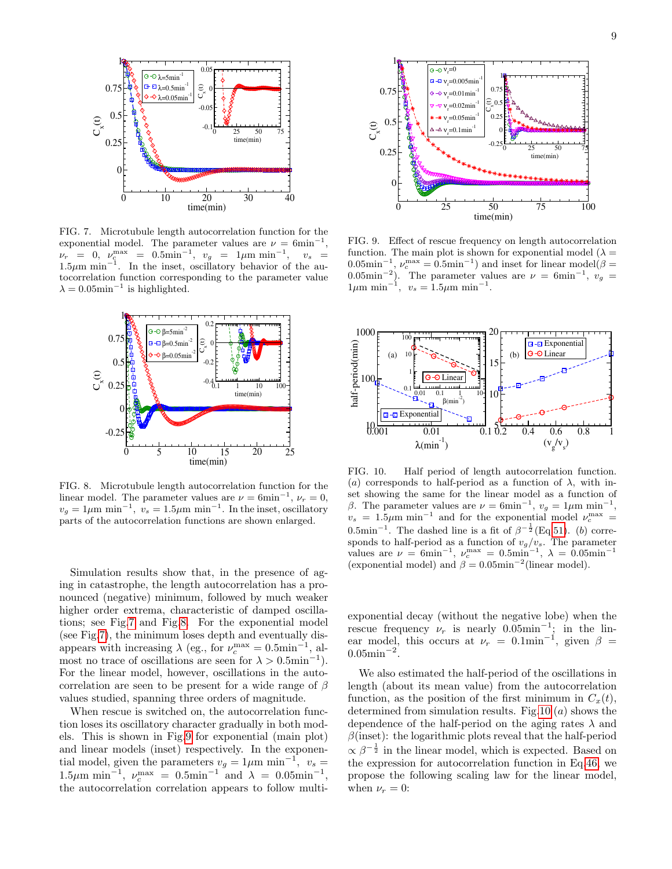

<span id="page-8-0"></span>FIG. 7. Microtubule length autocorrelation function for the exponential model. The parameter values are  $\nu = 6$ min<sup>-1</sup>,  $\nu_r = 0, \ \nu_c^{\rm max} = 0.5 {\rm min}^{-1}, \ v_g = 1 \mu {\rm m} \ {\rm min}^{-1}, \quad v_s =$  $1.5\mu m$  min<sup>-1</sup>. In the inset, oscillatory behavior of the autocorrelation function corresponding to the parameter value  $\lambda = 0.05$ min<sup>-1</sup> is highlighted.



<span id="page-8-1"></span>FIG. 8. Microtubule length autocorrelation function for the linear model. The parameter values are  $\nu = 6$ min<sup>-1</sup>,  $\nu_r = 0$ ,  $v_g = 1 \mu \text{m min}^{-1}$ ,  $v_s = 1.5 \mu \text{m min}^{-1}$ . In the inset, oscillatory parts of the autocorrelation functions are shown enlarged.

Simulation results show that, in the presence of aging in catastrophe, the length autocorrelation has a pronounced (negative) minimum, followed by much weaker higher order extrema, characteristic of damped oscillations; see Fig[.7](#page-8-0) and Fig[.8.](#page-8-1) For the exponential model (see Fig[.7\)](#page-8-0), the minimum loses depth and eventually disappears with increasing  $\lambda$  (eg., for  $\nu_c^{\max} = 0.5 \text{min}^{-1}$ , almost no trace of oscillations are seen for  $\lambda > 0.5$ min<sup>-1</sup>). For the linear model, however, oscillations in the autocorrelation are seen to be present for a wide range of  $\beta$ values studied, spanning three orders of magnitude.

When rescue is switched on, the autocorrelation function loses its oscillatory character gradually in both models. This is shown in Fig[.9](#page-8-2) for exponential (main plot) and linear models (inset) respectively. In the exponential model, given the parameters  $v_g = 1 \mu m \text{ min}^{-1}$ ,  $v_s =$ 1.5μm min<sup>-1</sup>,  $ν_c^{\text{max}} = 0.5 \text{min}^{-1}$  and  $\lambda = 0.05 \text{min}^{-1}$ , the autocorrelation correlation appears to follow multi-



<span id="page-8-2"></span>FIG. 9. Effect of rescue frequency on length autocorrelation function. The main plot is shown for exponential model ( $\lambda =$  $(0.05 \text{min}^{-1}, \nu_c^{\text{max}} = 0.5 \text{min}^{-1})$  and inset for linear model $(\beta = 0.05 \text{min}^{-1})$ 0.05min<sup>-2</sup>). The parameter values are  $\nu = 6$ min<sup>-1</sup>,  $v_g =$  $1\mu m \text{ min}^{-1}$ ,  $v_s = 1.5\mu \text{m min}^{-1}$ .



<span id="page-8-3"></span>FIG. 10. Half period of length autocorrelation function. (a) corresponds to half-period as a function of  $\lambda$ , with inset showing the same for the linear model as a function of β. The parameter values are  $\nu = 6$ min<sup>-1</sup>,  $v_g = 1 \mu$ m min<sup>-1</sup> ,  $v_s = 1.5 \mu m \text{ min}^{-1}$  and for the exponential model  $v_c^{\text{max}} =$  $0.5\text{min}^{-1}$ . The dashed line is a fit of  $\beta^{-\frac{1}{2}}$ (Eq[.51\)](#page-9-0). (b) corresponds to half-period as a function of  $v_g/v_s$ . The parameter values are  $\nu = 6 \text{min}^{-1}$ ,  $\nu_c^{\text{max}} = 0.5 \text{min}^{-1}$ ,  $\lambda = 0.05 \text{min}^{-1}$ (exponential model) and  $\beta = 0.05$ min<sup>-2</sup>(linear model).

exponential decay (without the negative lobe) when the rescue frequency  $\nu_r$  is nearly 0.05min<sup>-1</sup>; in the linear model, this occurs at  $\nu_r = 0.1$ min<sup>-1</sup>, given  $\beta =$  $0.05$ min<sup>-2</sup>.

We also estimated the half-period of the oscillations in length (about its mean value) from the autocorrelation function, as the position of the first minimum in  $C_x(t)$ , determined from simulation results. Fig[.10](#page-8-3)  $(a)$  shows the dependence of the half-period on the aging rates  $\lambda$  and  $\beta$ (inset): the logarithmic plots reveal that the half-period  $\propto \beta^{-\frac{1}{2}}$  in the linear model, which is expected. Based on the expression for autocorrelation function in Eq[.46,](#page-6-2) we propose the following scaling law for the linear model, when  $\nu_r = 0$ :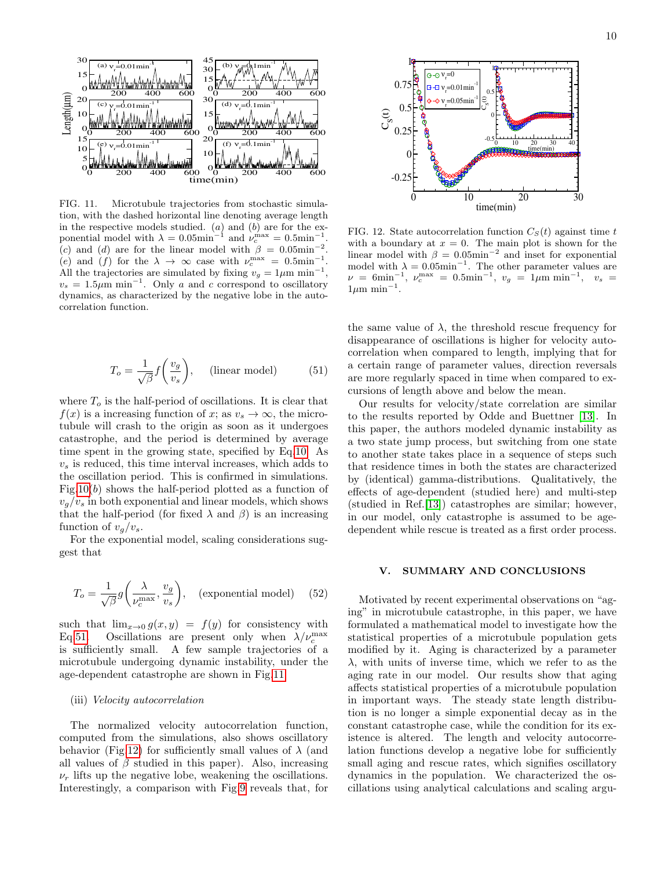

<span id="page-9-1"></span>FIG. 11. Microtubule trajectories from stochastic simulation, with the dashed horizontal line denoting average length in the respective models studied.  $(a)$  and  $(b)$  are for the exponential model with  $\lambda = 0.05$ min<sup>-1</sup> and  $\nu_c^{\text{max}} = 0.5$ min<sup>-1</sup>. (c) and (d) are for the linear model with  $\beta = 0.05$ min<sup>-</sup> . (e) and (f) for the  $\lambda \to \infty$  case with  $\nu_c^{\max} = 0.5 \text{min}^{-1}$ . All the trajectories are simulated by fixing  $v_g = 1 \mu m \text{ min}^{-1}$ ,  $v_s = 1.5 \mu m \text{ min}^{-1}$ . Only a and c correspond to oscillatory dynamics, as characterized by the negative lobe in the autocorrelation function.

<span id="page-9-0"></span>
$$
T_o = \frac{1}{\sqrt{\beta}} f\left(\frac{v_g}{v_s}\right), \quad \text{(linear model)} \tag{51}
$$

where  $T<sub>o</sub>$  is the half-period of oscillations. It is clear that  $f(x)$  is a increasing function of x; as  $v_s \to \infty$ , the microtubule will crash to the origin as soon as it undergoes catastrophe, and the period is determined by average time spent in the growing state, specified by Eq[.10.](#page-2-2) As  $v<sub>s</sub>$  is reduced, this time interval increases, which adds to the oscillation period. This is confirmed in simulations. Fig[.10\(](#page-8-3)b) shows the half-period plotted as a function of  $v_q/v_s$  in both exponential and linear models, which shows that the half-period (for fixed  $\lambda$  and  $\beta$ ) is an increasing function of  $v_a/v_s$ .

For the exponential model, scaling considerations suggest that

$$
T_o = \frac{1}{\sqrt{\beta}} g\left(\frac{\lambda}{\nu_c^{\text{max}}}, \frac{v_g}{v_s}\right), \quad \text{(exponential model)} \quad (52)
$$

such that  $\lim_{x\to 0} g(x, y) = f(y)$  for consistency with Eq[.51.](#page-9-0) Oscillations are present only when  $\lambda/\nu_c^{\text{max}}$ is sufficiently small. A few sample trajectories of a microtubule undergoing dynamic instability, under the age-dependent catastrophe are shown in Fig[.11.](#page-9-1)

#### (iii) Velocity autocorrelation

The normalized velocity autocorrelation function, computed from the simulations, also shows oscillatory behavior (Fig[.12\)](#page-9-2) for sufficiently small values of  $\lambda$  (and all values of  $\beta$  studied in this paper). Also, increasing  $\nu_r$  lifts up the negative lobe, weakening the oscillations. Interestingly, a comparison with Fig[.9](#page-8-2) reveals that, for



<span id="page-9-2"></span>FIG. 12. State autocorrelation function  $C<sub>S</sub>(t)$  against time t with a boundary at  $x = 0$ . The main plot is shown for the linear model with  $\beta = 0.05$ min<sup>-2</sup> and inset for exponential model with  $\lambda = 0.05$ min<sup>-1</sup>. The other parameter values are  $\nu = 6 {\rm min}^{-1}, \; \nu_c^{\rm max} \; = \; 0.5 {\rm min}^{-1}, \; \; v_g \; = \; 1 \mu {\rm m} \; {\rm min}^{-1}, \; \; \; v_s \; = \;$  $1\mu m$  min<sup>-1</sup>.

the same value of  $\lambda$ , the threshold rescue frequency for disappearance of oscillations is higher for velocity autocorrelation when compared to length, implying that for a certain range of parameter values, direction reversals are more regularly spaced in time when compared to excursions of length above and below the mean.

Our results for velocity/state correlation are similar to the results reported by Odde and Buettner [\[13\]](#page-10-10). In this paper, the authors modeled dynamic instability as a two state jump process, but switching from one state to another state takes place in a sequence of steps such that residence times in both the states are characterized by (identical) gamma-distributions. Qualitatively, the effects of age-dependent (studied here) and multi-step (studied in Ref.[\[13\]](#page-10-10)) catastrophes are similar; however, in our model, only catastrophe is assumed to be agedependent while rescue is treated as a first order process.

# V. SUMMARY AND CONCLUSIONS

Motivated by recent experimental observations on "aging" in microtubule catastrophe, in this paper, we have formulated a mathematical model to investigate how the statistical properties of a microtubule population gets modified by it. Aging is characterized by a parameter  $\lambda$ , with units of inverse time, which we refer to as the aging rate in our model. Our results show that aging affects statistical properties of a microtubule population in important ways. The steady state length distribution is no longer a simple exponential decay as in the constant catastrophe case, while the condition for its existence is altered. The length and velocity autocorrelation functions develop a negative lobe for sufficiently small aging and rescue rates, which signifies oscillatory dynamics in the population. We characterized the oscillations using analytical calculations and scaling argu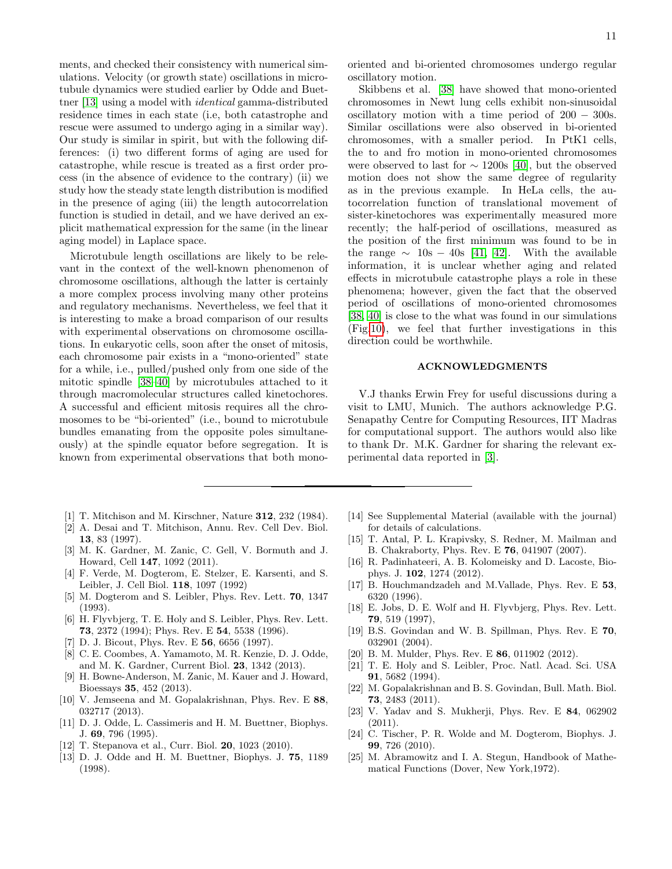ments, and checked their consistency with numerical simulations. Velocity (or growth state) oscillations in microtubule dynamics were studied earlier by Odde and Buettner [\[13\]](#page-10-10) using a model with identical gamma-distributed residence times in each state (i.e, both catastrophe and rescue were assumed to undergo aging in a similar way). Our study is similar in spirit, but with the following differences: (i) two different forms of aging are used for catastrophe, while rescue is treated as a first order process (in the absence of evidence to the contrary) (ii) we study how the steady state length distribution is modified in the presence of aging (iii) the length autocorrelation function is studied in detail, and we have derived an explicit mathematical expression for the same (in the linear aging model) in Laplace space.

Microtubule length oscillations are likely to be relevant in the context of the well-known phenomenon of chromosome oscillations, although the latter is certainly a more complex process involving many other proteins and regulatory mechanisms. Nevertheless, we feel that it is interesting to make a broad comparison of our results with experimental observations on chromosome oscillations. In eukaryotic cells, soon after the onset of mitosis, each chromosome pair exists in a "mono-oriented" state for a while, i.e., pulled/pushed only from one side of the mitotic spindle [\[38–](#page-11-10)[40\]](#page-11-11) by microtubules attached to it through macromolecular structures called kinetochores. A successful and efficient mitosis requires all the chromosomes to be "bi-oriented" (i.e., bound to microtubule bundles emanating from the opposite poles simultaneously) at the spindle equator before segregation. It is known from experimental observations that both mono-

- <span id="page-10-0"></span>[1] T. Mitchison and M. Kirschner, Nature 312, 232 (1984).
- <span id="page-10-1"></span>[2] A. Desai and T. Mitchison, Annu. Rev. Cell Dev. Biol. 13, 83 (1997).
- <span id="page-10-2"></span>[3] M. K. Gardner, M. Zanic, C. Gell, V. Bormuth and J. Howard, Cell 147, 1092 (2011).
- <span id="page-10-3"></span>[4] F. Verde, M. Dogterom, E. Stelzer, E. Karsenti, and S. Leibler, J. Cell Biol. 118, 1097 (1992)
- <span id="page-10-22"></span>[5] M. Dogterom and S. Leibler, Phys. Rev. Lett. 70, 1347 (1993).
- <span id="page-10-12"></span>[6] H. Flyvbjerg, T. E. Holy and S. Leibler, Phys. Rev. Lett. 73, 2372 (1994); Phys. Rev. E 54, 5538 (1996).
- <span id="page-10-4"></span>D. J. Bicout, Phys. Rev. E **56**, 6656 (1997).
- <span id="page-10-5"></span>[8] C. E. Coombes, A. Yamamoto, M. R. Kenzie, D. J. Odde, and M. K. Gardner, Current Biol. 23, 1342 (2013).
- <span id="page-10-6"></span>[9] H. Bowne-Anderson, M. Zanic, M. Kauer and J. Howard, Bioessays 35, 452 (2013).
- <span id="page-10-7"></span>[10] V. Jemseena and M. Gopalakrishnan, Phys. Rev. E 88, 032717 (2013).
- <span id="page-10-8"></span>[11] D. J. Odde, L. Cassimeris and H. M. Buettner, Biophys. J. 69, 796 (1995).
- <span id="page-10-9"></span>[12] T. Stepanova et al., Curr. Biol. 20, 1023 (2010).
- <span id="page-10-10"></span>[13] D. J. Odde and H. M. Buettner, Biophys. J. 75, 1189 (1998).

Skibbens et al. [\[38\]](#page-11-10) have showed that mono-oriented chromosomes in Newt lung cells exhibit non-sinusoidal oscillatory motion with a time period of 200 − 300s. Similar oscillations were also observed in bi-oriented chromosomes, with a smaller period. In PtK1 cells, the to and fro motion in mono-oriented chromosomes were observed to last for  $\sim$  1200s [\[40\]](#page-11-11), but the observed motion does not show the same degree of regularity as in the previous example. In HeLa cells, the autocorrelation function of translational movement of sister-kinetochores was experimentally measured more recently; the half-period of oscillations, measured as the position of the first minimum was found to be in the range  $\sim 10s - 40s$  [\[41,](#page-11-12) [42\]](#page-11-13). With the available information, it is unclear whether aging and related effects in microtubule catastrophe plays a role in these phenomena; however, given the fact that the observed period of oscillations of mono-oriented chromosomes [\[38,](#page-11-10) [40\]](#page-11-11) is close to the what was found in our simulations (Fig[.10\)](#page-8-3), we feel that further investigations in this direction could be worthwhile.

# ACKNOWLEDGMENTS

V.J thanks Erwin Frey for useful discussions during a visit to LMU, Munich. The authors acknowledge P.G. Senapathy Centre for Computing Resources, IIT Madras for computational support. The authors would also like to thank Dr. M.K. Gardner for sharing the relevant experimental data reported in [\[3\]](#page-10-2).

- <span id="page-10-11"></span>[14] See Supplemental Material (available with the journal) for details of calculations.
- <span id="page-10-13"></span>[15] T. Antal, P. L. Krapivsky, S. Redner, M. Mailman and B. Chakraborty, Phys. Rev. E 76, 041907 (2007).
- <span id="page-10-14"></span>[16] R. Padinhateeri, A. B. Kolomeisky and D. Lacoste, Biophys. J. 102, 1274 (2012).
- <span id="page-10-15"></span>[17] B. Houchmandzadeh and M.Vallade, Phys. Rev. E 53, 6320 (1996).
- <span id="page-10-16"></span>[18] E. Jobs, D. E. Wolf and H. Flyvbjerg, Phys. Rev. Lett. 79, 519 (1997),
- <span id="page-10-17"></span>[19] B.S. Govindan and W. B. Spillman, Phys. Rev. E 70, 032901 (2004).
- <span id="page-10-18"></span>[20] B. M. Mulder, Phys. Rev. E **86**, 011902 (2012).
- [21] T. E. Holy and S. Leibler, Proc. Natl. Acad. Sci. USA 91, 5682 (1994).
- <span id="page-10-19"></span>[22] M. Gopalakrishnan and B. S. Govindan, Bull. Math. Biol. 73, 2483 (2011).
- <span id="page-10-20"></span>[23] V. Yadav and S. Mukherji, Phys. Rev. E 84, 062902 (2011).
- <span id="page-10-21"></span>[24] C. Tischer, P. R. Wolde and M. Dogterom, Biophys. J. 99, 726 (2010).
- <span id="page-10-23"></span>[25] M. Abramowitz and I. A. Stegun, Handbook of Mathematical Functions (Dover, New York,1972).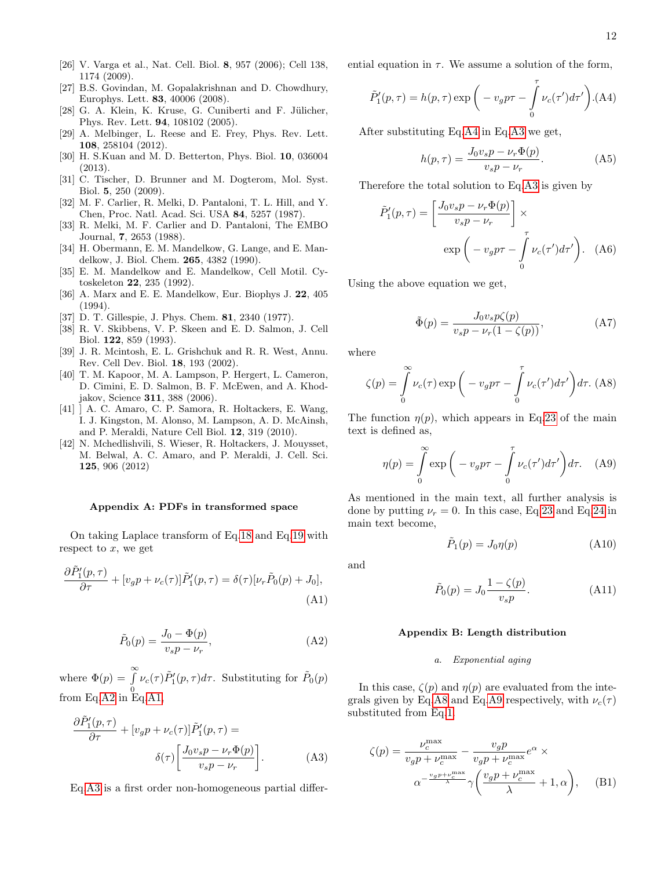- <span id="page-11-3"></span>[26] V. Varga et al., Nat. Cell. Biol. 8, 957 (2006); Cell 138, 1174 (2009).
- <span id="page-11-4"></span>[27] B.S. Govindan, M. Gopalakrishnan and D. Chowdhury, Europhys. Lett. 83, 40006 (2008).
- [28] G. A. Klein, K. Kruse, G. Cuniberti and F. Jülicher, Phys. Rev. Lett. 94, 108102 (2005).
- [29] A. Melbinger, L. Reese and E. Frey, Phys. Rev. Lett. 108, 258104 (2012).
- <span id="page-11-5"></span>[30] H. S.Kuan and M. D. Betterton, Phys. Biol. 10, 036004 (2013).
- <span id="page-11-6"></span>[31] C. Tischer, D. Brunner and M. Dogterom, Mol. Syst. Biol. 5, 250 (2009).
- <span id="page-11-7"></span>[32] M. F. Carlier, R. Melki, D. Pantaloni, T. L. Hill, and Y. Chen, Proc. Natl. Acad. Sci. USA 84, 5257 (1987).
- [33] R. Melki, M. F. Carlier and D. Pantaloni, The EMBO Journal, 7, 2653 (1988).
- [34] H. Obermann, E. M. Mandelkow, G. Lange, and E. Mandelkow, J. Biol. Chem. 265, 4382 (1990).
- [35] E. M. Mandelkow and E. Mandelkow, Cell Motil. Cytoskeleton 22, 235 (1992).
- <span id="page-11-8"></span>[36] A. Marx and E. E. Mandelkow, Eur. Biophys J. 22, 405 (1994).
- <span id="page-11-9"></span>[37] D. T. Gillespie, J. Phys. Chem. 81, 2340 (1977).
- <span id="page-11-10"></span>[38] R. V. Skibbens, V. P. Skeen and E. D. Salmon, J. Cell Biol. 122, 859 (1993).
- [39] J. R. Mcintosh, E. L. Grishchuk and R. R. West, Annu. Rev. Cell Dev. Biol. 18, 193 (2002).
- <span id="page-11-11"></span>[40] T. M. Kapoor, M. A. Lampson, P. Hergert, L. Cameron, D. Cimini, E. D. Salmon, B. F. McEwen, and A. Khodjakov, Science 311, 388 (2006).
- <span id="page-11-12"></span>[41] ] A. C. Amaro, C. P. Samora, R. Holtackers, E. Wang, I. J. Kingston, M. Alonso, M. Lampson, A. D. McAinsh, and P. Meraldi, Nature Cell Biol. 12, 319 (2010).
- <span id="page-11-13"></span>[42] N. Mchedlishvili, S. Wieser, R. Holtackers, J. Mouysset, M. Belwal, A. C. Amaro, and P. Meraldi, J. Cell. Sci. 125, 906 (2012)

## Appendix A: PDFs in transformed space

On taking Laplace transform of Eq[.18](#page-3-2) and Eq[.19](#page-3-3) with respect to  $x$ , we get

<span id="page-11-15"></span>
$$
\frac{\partial \tilde{P}'_1(p,\tau)}{\partial \tau} + [v_g p + \nu_c(\tau)] \tilde{P}'_1(p,\tau) = \delta(\tau) [\nu_r \tilde{P}_0(p) + J_0],
$$
\n(A1)

<span id="page-11-14"></span>
$$
\tilde{P}_0(p) = \frac{J_0 - \Phi(p)}{v_s p - \nu_r},\tag{A2}
$$

where  $\Phi(p) = \int_{0}^{\infty}$  $\int_0^{\tau} \nu_c(\tau) \tilde{P}_1^{\prime}(p,\tau) d\tau$ . Substituting for  $\tilde{P}_0(p)$ from Eq[.A2](#page-11-14) in Eq[.A1,](#page-11-15)

<span id="page-11-16"></span>
$$
\frac{\partial \tilde{P}'_1(p,\tau)}{\partial \tau} + [v_g p + \nu_c(\tau)] \tilde{P}'_1(p,\tau) =
$$

$$
\delta(\tau) \left[ \frac{J_0 v_s p - \nu_r \Phi(p)}{v_s p - \nu_r} \right].
$$
 (A3)

Eq[.A3](#page-11-16) is a first order non-homogeneous partial differ-

ential equation in  $\tau$ . We assume a solution of the form,

<span id="page-11-17"></span>
$$
\tilde{P}'_1(p,\tau) = h(p,\tau) \exp\bigg(-v_g p\tau - \int\limits_0^\tau \nu_c(\tau')d\tau'\bigg). \tag{A4}
$$

After substituting Eq[.A4](#page-11-17) in Eq[.A3](#page-11-16) we get,

$$
h(p,\tau) = \frac{J_0 v_s p - \nu_r \Phi(p)}{v_s p - \nu_r}.
$$
 (A5)

Therefore the total solution to Eq[.A3](#page-11-16) is given by

$$
\tilde{P}'_1(p,\tau) = \left[\frac{J_0 v_s p - \nu_r \Phi(p)}{v_s p - \nu_r}\right] \times \exp\left(-v_g p \tau - \int_0^\tau \nu_c(\tau') d\tau'\right). \quad (A6)
$$

Using the above equation we get,

$$
\tilde{\Phi}(p) = \frac{J_0 v_s p \zeta(p)}{v_s p - \nu_r (1 - \zeta(p))},\tag{A7}
$$

where

<span id="page-11-0"></span>
$$
\zeta(p) = \int_{0}^{\infty} \nu_c(\tau) \exp\left(-v_g p \tau - \int_{0}^{\tau} \nu_c(\tau') d\tau'\right) d\tau.
$$
 (A8)

The function  $\eta(p)$ , which appears in Eq[.23](#page-4-1) of the main text is defined as,

<span id="page-11-1"></span>
$$
\eta(p) = \int_{0}^{\infty} \exp\left(-v_g p \tau - \int_{0}^{\tau} \nu_c(\tau') d\tau'\right) d\tau. \quad (A9)
$$

As mentioned in the main text, all further analysis is done by putting  $\nu_r = 0$ . In this case, Eq[.23](#page-4-1) and Eq[.24](#page-4-2) in main text become,

<span id="page-11-19"></span>
$$
\tilde{P}_1(p) = J_0 \eta(p) \tag{A10}
$$

and

<span id="page-11-18"></span>
$$
\tilde{P}_0(p) = J_0 \frac{1 - \zeta(p)}{v_s p}.
$$
\n(A11)

# Appendix B: Length distribution

# a. Exponential aging

In this case,  $\zeta(p)$  and  $\eta(p)$  are evaluated from the inte-grals given by Eq[.A8](#page-11-0) and Eq[.A9](#page-11-1) respectively, with  $\nu_c(\tau)$ substituted from Eq[.1.](#page-1-0)

<span id="page-11-2"></span>
$$
\zeta(p) = \frac{\nu_c^{\text{max}}}{v_g p + \nu_c^{\text{max}}} - \frac{v_g p}{v_g p + \nu_c^{\text{max}}} e^{\alpha} \times \alpha^{-\frac{v_g p + \nu_c^{\text{max}}}{\lambda}} \gamma \left( \frac{v_g p + \nu_c^{\text{max}}}{\lambda} + 1, \alpha \right), \quad (B1)
$$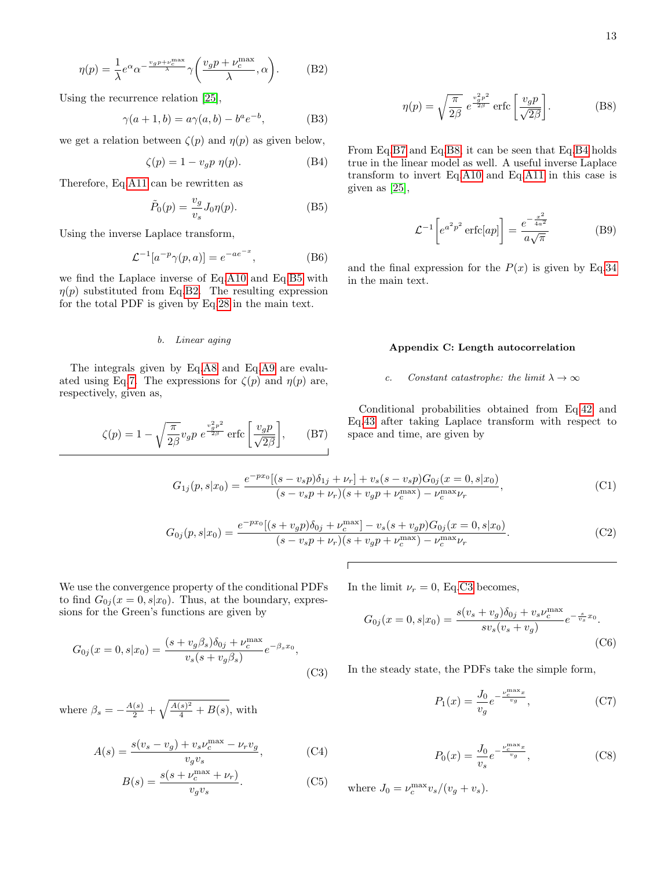<span id="page-12-0"></span>
$$
\eta(p) = \frac{1}{\lambda} e^{\alpha} \alpha^{-\frac{v_g p + \nu_c^{\max}}{\lambda}} \gamma\left(\frac{v_g p + \nu_c^{\max}}{\lambda}, \alpha\right). \tag{B2}
$$

Using the recurrence relation [\[25\]](#page-10-23),

$$
\gamma(a+1,b) = a\gamma(a,b) - b^a e^{-b},\tag{B3}
$$

we get a relation between  $\zeta(p)$  and  $\eta(p)$  as given below,

<span id="page-12-6"></span>
$$
\zeta(p) = 1 - v_g p \eta(p). \tag{B4}
$$

Therefore, Eq[.A11](#page-11-18) can be rewritten as

<span id="page-12-5"></span>
$$
\tilde{P}_0(p) = \frac{v_g}{v_s} J_0 \eta(p). \tag{B5}
$$

Using the inverse Laplace transform,

$$
\mathcal{L}^{-1}[a^{-p}\gamma(p,a)] = e^{-ae^{-x}},\tag{B6}
$$

we find the Laplace inverse of Eq[.A10](#page-11-19) and Eq[.B5](#page-12-5) with  $\eta(p)$  substituted from Eq[.B2.](#page-12-0) The resulting expression for the total PDF is given by Eq[.28](#page-4-4) in the main text.

# b. Linear aging

The integrals given by Eq[.A8](#page-11-0) and Eq[.A9](#page-11-1) are evalu-ated using Eq[.7.](#page-2-0) The expressions for  $\zeta(p)$  and  $\eta(p)$  are, respectively, given as,

<span id="page-12-1"></span>
$$
\zeta(p) = 1 - \sqrt{\frac{\pi}{2\beta}} v_g p \ e^{\frac{v_g^2 p^2}{2\beta}} \text{erfc}\left[\frac{v_g p}{\sqrt{2\beta}}\right],\qquad(B7)
$$

<span id="page-12-2"></span>
$$
\eta(p) = \sqrt{\frac{\pi}{2\beta}} e^{\frac{v_g^2 p^2}{2\beta}} \operatorname{erfc}\left[\frac{v_g p}{\sqrt{2\beta}}\right].
$$
 (B8)

From Eq[.B7](#page-12-1) and Eq[.B8,](#page-12-2) it can be seen that Eq[.B4](#page-12-6) holds true in the linear model as well. A useful inverse Laplace transform to invert Eq[.A10](#page-11-19) and Eq[.A11](#page-11-18) in this case is given as [\[25\]](#page-10-23),

$$
\mathcal{L}^{-1}\left[e^{a^2 p^2} \operatorname{erfc}[ap]\right] = \frac{e^{-\frac{x^2}{4a^2}}}{a\sqrt{\pi}} \tag{B9}
$$

and the final expression for the  $P(x)$  is given by Eq[.34](#page-5-0) in the main text.

# Appendix C: Length autocorrelation

# c. Constant catastrophe: the limit  $\lambda \to \infty$

Conditional probabilities obtained from Eq[.42](#page-6-0) and Eq[.43](#page-6-1) after taking Laplace transform with respect to space and time, are given by

<span id="page-12-3"></span>
$$
G_{1j}(p,s|x_0) = \frac{e^{-px_0}[(s-v_s p)\delta_{1j} + \nu_r] + v_s(s-v_s p)G_{0j}(x=0,s|x_0)}{(s-v_s p + \nu_r)(s+v_g p + \nu_c^{\max}) - \nu_c^{\max}\nu_r},
$$
(C1)

<span id="page-12-4"></span>
$$
G_{0j}(p,s|x_0) = \frac{e^{-px_0}[(s+v_g p)\delta_{0j} + \nu_c^{\max}] - v_s(s+v_g p)G_{0j}(x=0,s|x_0)}{(s-v_s p + \nu_r)(s+v_g p + \nu_c^{\max}) - \nu_c^{\max}\nu_r}.
$$
(C2)

 $\sqrt{ }$ 

We use the convergence property of the conditional PDFs to find  $G_{0j}(x=0,s|x_0)$ . Thus, at the boundary, expressions for the Green's functions are given by

<span id="page-12-7"></span>
$$
G_{0j}(x=0,s|x_0) = \frac{(s+v_g\beta_s)\delta_{0j} + \nu_c^{\max}}{v_s(s+v_g\beta_s)}e^{-\beta_s x_0},
$$
\n(C3)

where  $\beta_s = -\frac{A(s)}{2} + \sqrt{\frac{A(s)^2}{4} + B(s)}$ , with

$$
A(s) = \frac{s(v_s - v_g) + v_s \nu_c^{\text{max}} - \nu_r v_g}{v_g v_s},
$$
 (C4)

$$
B(s) = \frac{s(s + \nu_c^{\max} + \nu_r)}{v_g v_s}.
$$
 (C5)

In the limit  $\nu_r = 0$ , Eq[.C3](#page-12-7) becomes,

$$
G_{0j}(x=0,s|x_0) = \frac{s(v_s + v_g)\delta_{0j} + v_s \nu_c^{\max}}{s v_s(v_s + v_g)} e^{-\frac{s}{v_s}x_0}.
$$
\n(C6)

In the steady state, the PDFs take the simple form,

$$
P_1(x) = \frac{J_0}{v_g} e^{-\frac{\nu_c^{\text{max}} x}{v_g}},
$$
\n(C7)

$$
P_0(x) = \frac{J_0}{v_s} e^{-\frac{\nu_c^{\max} x}{v_g}},
$$
\n(C8)

where  $J_0 = \nu_c^{\text{max}} v_s/(v_g + v_s)$ .